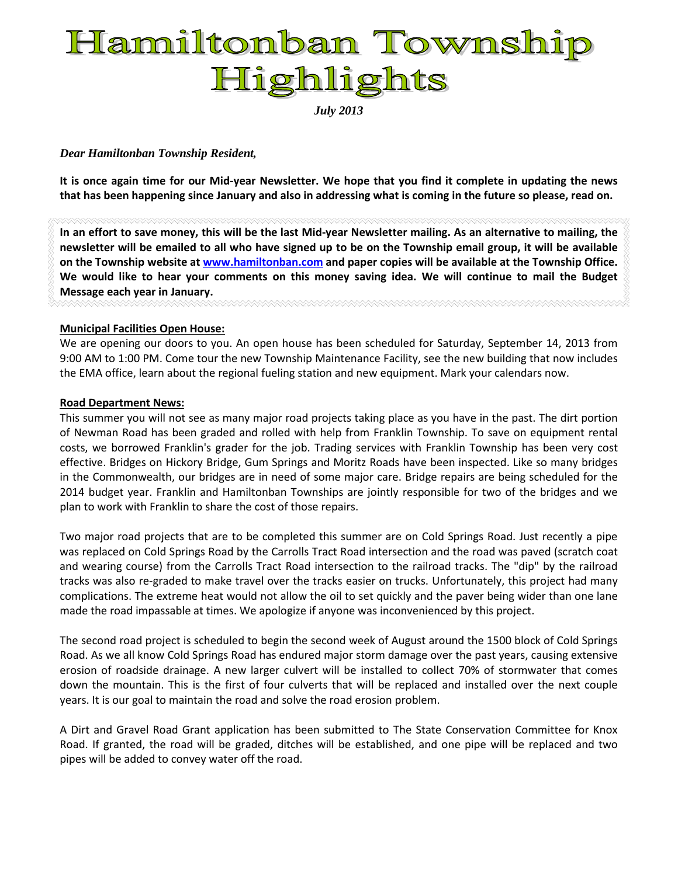# Hamiltonban Township Highlights

*July 2013*

#### *Dear Hamiltonban Township Resident,*

**It is once again time for our Mid-year Newsletter. We hope that you find it complete in updating the news that has been happening since January and also in addressing what is coming in the future so please, read on.**

**In an effort to save money, this will be the last Mid-year Newsletter mailing. As an alternative to mailing, the newsletter will be emailed to all who have signed up to be on the Township email group, it will be available on the Township website at [www.hamiltonban.com](http://www.hamiltonban.com/) and paper copies will be available at the Township Office. We would like to hear your comments on this money saving idea. We will continue to mail the Budget Message each year in January.**

#### **Municipal Facilities Open House:**

We are opening our doors to you. An open house has been scheduled for Saturday, September 14, 2013 from 9:00 AM to 1:00 PM. Come tour the new Township Maintenance Facility, see the new building that now includes the EMA office, learn about the regional fueling station and new equipment. Mark your calendars now.

#### **Road Department News:**

This summer you will not see as many major road projects taking place as you have in the past. The dirt portion of Newman Road has been graded and rolled with help from Franklin Township. To save on equipment rental costs, we borrowed Franklin's grader for the job. Trading services with Franklin Township has been very cost effective. Bridges on Hickory Bridge, Gum Springs and Moritz Roads have been inspected. Like so many bridges in the Commonwealth, our bridges are in need of some major care. Bridge repairs are being scheduled for the 2014 budget year. Franklin and Hamiltonban Townships are jointly responsible for two of the bridges and we plan to work with Franklin to share the cost of those repairs.

Two major road projects that are to be completed this summer are on Cold Springs Road. Just recently a pipe was replaced on Cold Springs Road by the Carrolls Tract Road intersection and the road was paved (scratch coat and wearing course) from the Carrolls Tract Road intersection to the railroad tracks. The "dip" by the railroad tracks was also re-graded to make travel over the tracks easier on trucks. Unfortunately, this project had many complications. The extreme heat would not allow the oil to set quickly and the paver being wider than one lane made the road impassable at times. We apologize if anyone was inconvenienced by this project.

The second road project is scheduled to begin the second week of August around the 1500 block of Cold Springs Road. As we all know Cold Springs Road has endured major storm damage over the past years, causing extensive erosion of roadside drainage. A new larger culvert will be installed to collect 70% of stormwater that comes down the mountain. This is the first of four culverts that will be replaced and installed over the next couple years. It is our goal to maintain the road and solve the road erosion problem.

A Dirt and Gravel Road Grant application has been submitted to The State Conservation Committee for Knox Road. If granted, the road will be graded, ditches will be established, and one pipe will be replaced and two pipes will be added to convey water off the road.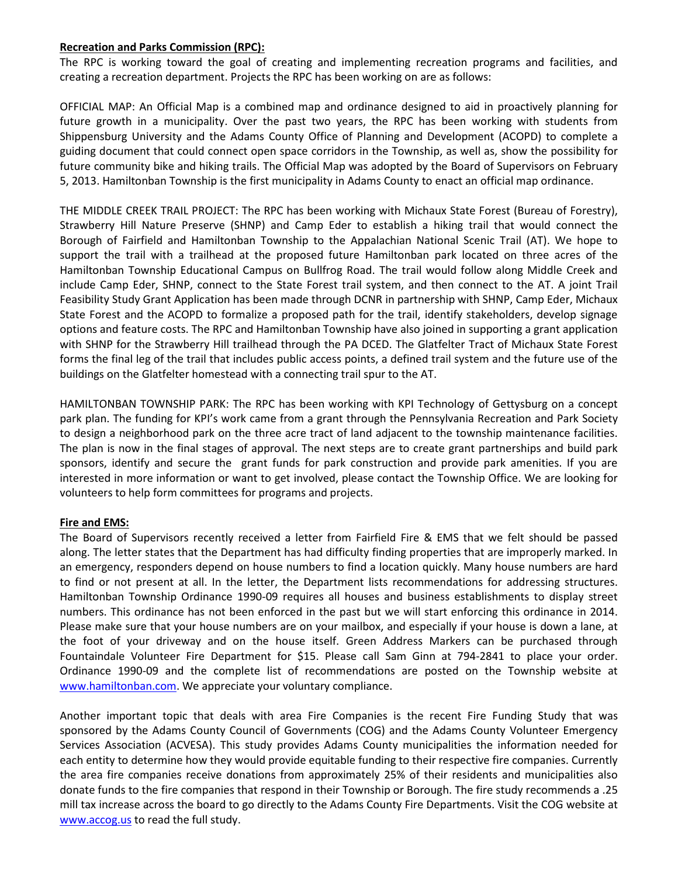#### **Recreation and Parks Commission (RPC):**

The RPC is working toward the goal of creating and implementing recreation programs and facilities, and creating a recreation department. Projects the RPC has been working on are as follows:

OFFICIAL MAP: An Official Map is a combined map and ordinance designed to aid in proactively planning for future growth in a municipality. Over the past two years, the RPC has been working with students from Shippensburg University and the Adams County Office of Planning and Development (ACOPD) to complete a guiding document that could connect open space corridors in the Township, as well as, show the possibility for future community bike and hiking trails. The Official Map was adopted by the Board of Supervisors on February 5, 2013. Hamiltonban Township is the first municipality in Adams County to enact an official map ordinance.

THE MIDDLE CREEK TRAIL PROJECT: The RPC has been working with Michaux State Forest (Bureau of Forestry), Strawberry Hill Nature Preserve (SHNP) and Camp Eder to establish a hiking trail that would connect the Borough of Fairfield and Hamiltonban Township to the Appalachian National Scenic Trail (AT). We hope to support the trail with a trailhead at the proposed future Hamiltonban park located on three acres of the Hamiltonban Township Educational Campus on Bullfrog Road. The trail would follow along Middle Creek and include Camp Eder, SHNP, connect to the State Forest trail system, and then connect to the AT. A joint Trail Feasibility Study Grant Application has been made through DCNR in partnership with SHNP, Camp Eder, Michaux State Forest and the ACOPD to formalize a proposed path for the trail, identify stakeholders, develop signage options and feature costs. The RPC and Hamiltonban Township have also joined in supporting a grant application with SHNP for the Strawberry Hill trailhead through the PA DCED. The Glatfelter Tract of Michaux State Forest forms the final leg of the trail that includes public access points, a defined trail system and the future use of the buildings on the Glatfelter homestead with a connecting trail spur to the AT.

HAMILTONBAN TOWNSHIP PARK: The RPC has been working with KPI Technology of Gettysburg on a concept park plan. The funding for KPI's work came from a grant through the Pennsylvania Recreation and Park Society to design a neighborhood park on the three acre tract of land adjacent to the township maintenance facilities. The plan is now in the final stages of approval. The next steps are to create grant partnerships and build park sponsors, identify and secure the grant funds for park construction and provide park amenities. If you are interested in more information or want to get involved, please contact the Township Office. We are looking for volunteers to help form committees for programs and projects.

#### **Fire and EMS:**

The Board of Supervisors recently received a letter from Fairfield Fire & EMS that we felt should be passed along. The letter states that the Department has had difficulty finding properties that are improperly marked. In an emergency, responders depend on house numbers to find a location quickly. Many house numbers are hard to find or not present at all. In the letter, the Department lists recommendations for addressing structures. Hamiltonban Township Ordinance 1990-09 requires all houses and business establishments to display street numbers. This ordinance has not been enforced in the past but we will start enforcing this ordinance in 2014. Please make sure that your house numbers are on your mailbox, and especially if your house is down a lane, at the foot of your driveway and on the house itself. Green Address Markers can be purchased through Fountaindale Volunteer Fire Department for \$15. Please call Sam Ginn at 794-2841 to place your order. Ordinance 1990-09 and the complete list of recommendations are posted on the Township website at [www.hamiltonban.com.](http://www.hamiltonban.com/) We appreciate your voluntary compliance.

Another important topic that deals with area Fire Companies is the recent Fire Funding Study that was sponsored by the Adams County Council of Governments (COG) and the Adams County Volunteer Emergency Services Association (ACVESA). This study provides Adams County municipalities the information needed for each entity to determine how they would provide equitable funding to their respective fire companies. Currently the area fire companies receive donations from approximately 25% of their residents and municipalities also donate funds to the fire companies that respond in their Township or Borough. The fire study recommends a .25 mill tax increase across the board to go directly to the Adams County Fire Departments. Visit the COG website at [www.accog.us](http://www.accog.us/) to read the full study.